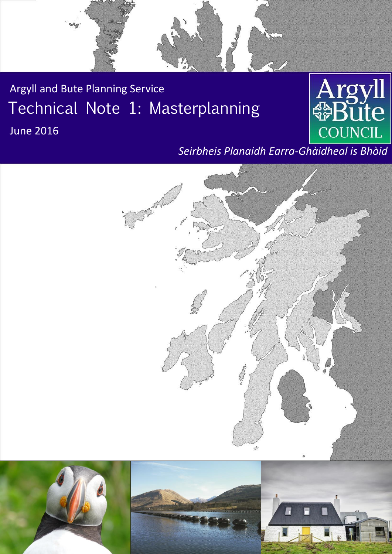

Argyll and Bute Planning Service Technical Note 1: Masterplanning



# **June 2016**

## *Seirbheis Planaidh Earra-Ghàidheal is Bhòid*

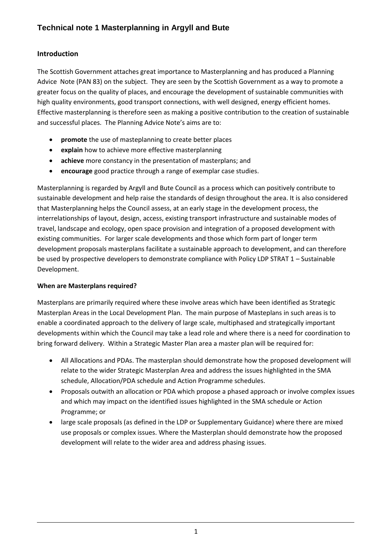## **Introduction**

The Scottish Government attaches great importance to Masterplanning and has produced a Planning Advice Note (PAN 83) on the subject. They are seen by the Scottish Government as a way to promote a greater focus on the quality of places, and encourage the development of sustainable communities with high quality environments, good transport connections, with well designed, energy efficient homes. Effective masterplanning is therefore seen as making a positive contribution to the creation of sustainable and successful places. The Planning Advice Note's aims are to:

- **promote** the use of masteplanning to create better places
- **explain** how to achieve more effective masterplanning
- **achieve** more constancy in the presentation of masterplans; and
- **encourage** good practice through a range of exemplar case studies.

Masterplanning is regarded by Argyll and Bute Council as a process which can positively contribute to sustainable development and help raise the standards of design throughout the area. It is also considered that Masterplanning helps the Council assess, at an early stage in the development process, the interrelationships of layout, design, access, existing transport infrastructure and sustainable modes of travel, landscape and ecology, open space provision and integration of a proposed development with existing communities. For larger scale developments and those which form part of longer term development proposals masterplans facilitate a sustainable approach to development, and can therefore be used by prospective developers to demonstrate compliance with Policy LDP STRAT 1 – Sustainable Development.

## **When are Masterplans required?**

Masterplans are primarily required where these involve areas which have been identified as Strategic Masterplan Areas in the Local Development Plan. The main purpose of Masteplans in such areas is to enable a coordinated approach to the delivery of large scale, multiphased and strategically important developments within which the Council may take a lead role and where there is a need for coordination to bring forward delivery. Within a Strategic Master Plan area a master plan will be required for:

- All Allocations and PDAs. The masterplan should demonstrate how the proposed development will relate to the wider Strategic Masterplan Area and address the issues highlighted in the SMA schedule, Allocation/PDA schedule and Action Programme schedules.
- Proposals outwith an allocation or PDA which propose a phased approach or involve complex issues and which may impact on the identified issues highlighted in the SMA schedule or Action Programme; or
- large scale proposals (as defined in the LDP or Supplementary Guidance) where there are mixed use proposals or complex issues. Where the Masterplan should demonstrate how the proposed development will relate to the wider area and address phasing issues.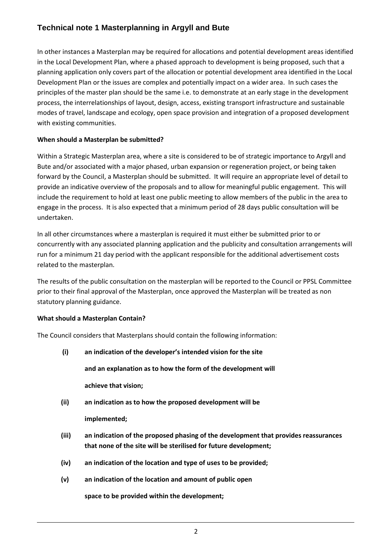In other instances a Masterplan may be required for allocations and potential development areas identified in the Local Development Plan, where a phased approach to development is being proposed, such that a planning application only covers part of the allocation or potential development area identified in the Local Development Plan or the issues are complex and potentially impact on a wider area. In such cases the principles of the master plan should be the same i.e. to demonstrate at an early stage in the development process, the interrelationships of layout, design, access, existing transport infrastructure and sustainable modes of travel, landscape and ecology, open space provision and integration of a proposed development with existing communities.

## **When should a Masterplan be submitted?**

Within a Strategic Masterplan area, where a site is considered to be of strategic importance to Argyll and Bute and/or associated with a major phased, urban expansion or regeneration project, or being taken forward by the Council, a Masterplan should be submitted. It will require an appropriate level of detail to provide an indicative overview of the proposals and to allow for meaningful public engagement. This will include the requirement to hold at least one public meeting to allow members of the public in the area to engage in the process. It is also expected that a minimum period of 28 days public consultation will be undertaken.

In all other circumstances where a masterplan is required it must either be submitted prior to or concurrently with any associated planning application and the publicity and consultation arrangements will run for a minimum 21 day period with the applicant responsible for the additional advertisement costs related to the masterplan.

The results of the public consultation on the masterplan will be reported to the Council or PPSL Committee prior to their final approval of the Masterplan, once approved the Masterplan will be treated as non statutory planning guidance.

## **What should a Masterplan Contain?**

The Council considers that Masterplans should contain the following information:

- **(i) an indication of the developer's intended vision for the site and an explanation as to how the form of the development will achieve that vision;**
- **(ii) an indication as to how the proposed development will be**

**implemented;**

- **(iii) an indication of the proposed phasing of the development that provides reassurances that none of the site will be sterilised for future development;**
- **(iv) an indication of the location and type of uses to be provided;**
- **(v) an indication of the location and amount of public open**

**space to be provided within the development;**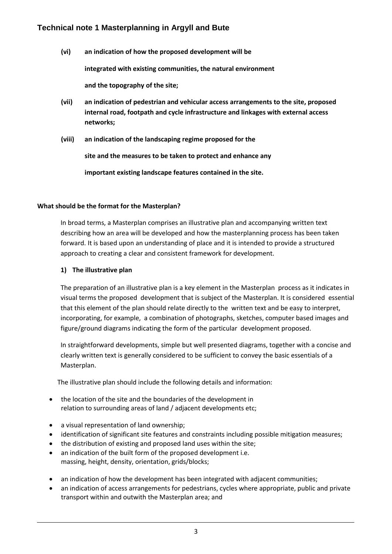**(vi) an indication of how the proposed development will be**

**integrated with existing communities, the natural environment**

**and the topography of the site;**

- **(vii) an indication of pedestrian and vehicular access arrangements to the site, proposed internal road, footpath and cycle infrastructure and linkages with external access networks;**
- **(viii) an indication of the landscaping regime proposed for the**

**site and the measures to be taken to protect and enhance any**

**important existing landscape features contained in the site.**

#### **What should be the format for the Masterplan?**

In broad terms, a Masterplan comprises an illustrative plan and accompanying written text describing how an area will be developed and how the masterplanning process has been taken forward. It is based upon an understanding of place and it is intended to provide a structured approach to creating a clear and consistent framework for development.

#### **1) The illustrative plan**

The preparation of an illustrative plan is a key element in the Masterplan process as it indicates in visual terms the proposed development that is subject of the Masterplan. It is considered essential that this element of the plan should relate directly to the written text and be easy to interpret, incorporating, for example, a combination of photographs, sketches, computer based images and figure/ground diagrams indicating the form of the particular development proposed.

In straightforward developments, simple but well presented diagrams, together with a concise and clearly written text is generally considered to be sufficient to convey the basic essentials of a Masterplan.

The illustrative plan should include the following details and information:

- the location of the site and the boundaries of the development in relation to surrounding areas of land / adjacent developments etc;
- a visual representation of land ownership;
- identification of significant site features and constraints including possible mitigation measures;
- the distribution of existing and proposed land uses within the site;
- an indication of the built form of the proposed development i.e. massing, height, density, orientation, grids/blocks;
- an indication of how the development has been integrated with adjacent communities;
- an indication of access arrangements for pedestrians, cycles where appropriate, public and private transport within and outwith the Masterplan area; and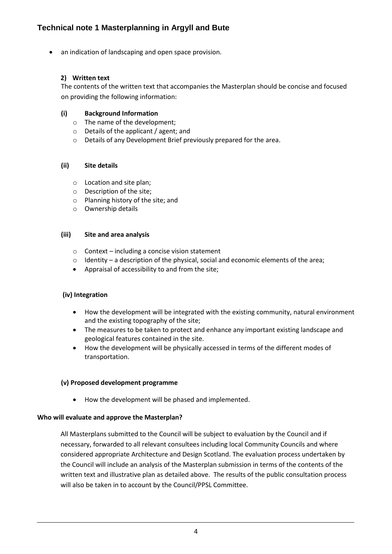an indication of landscaping and open space provision.

## **2) Written text**

The contents of the written text that accompanies the Masterplan should be concise and focused on providing the following information:

## **(i) Background Information**

- o The name of the development;
- o Details of the applicant / agent; and
- o Details of any Development Brief previously prepared for the area.

### **(ii) Site details**

- o Location and site plan;
- o Description of the site;
- o Planning history of the site; and
- o Ownership details

### **(iii) Site and area analysis**

- o Context including a concise vision statement
- $\circ$  Identity a description of the physical, social and economic elements of the area;
- Appraisal of accessibility to and from the site;

### **(iv) Integration**

- How the development will be integrated with the existing community, natural environment and the existing topography of the site;
- The measures to be taken to protect and enhance any important existing landscape and geological features contained in the site.
- How the development will be physically accessed in terms of the different modes of transportation.

### **(v) Proposed development programme**

How the development will be phased and implemented.

### **Who will evaluate and approve the Masterplan?**

All Masterplans submitted to the Council will be subject to evaluation by the Council and if necessary, forwarded to all relevant consultees including local Community Councils and where considered appropriate Architecture and Design Scotland. The evaluation process undertaken by the Council will include an analysis of the Masterplan submission in terms of the contents of the written text and illustrative plan as detailed above. The results of the public consultation process will also be taken in to account by the Council/PPSL Committee.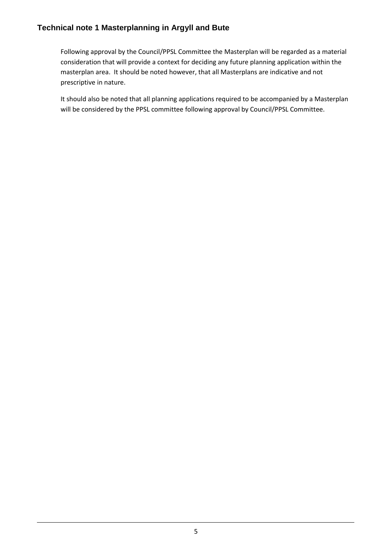Following approval by the Council/PPSL Committee the Masterplan will be regarded as a material consideration that will provide a context for deciding any future planning application within the masterplan area. It should be noted however, that all Masterplans are indicative and not prescriptive in nature.

It should also be noted that all planning applications required to be accompanied by a Masterplan will be considered by the PPSL committee following approval by Council/PPSL Committee.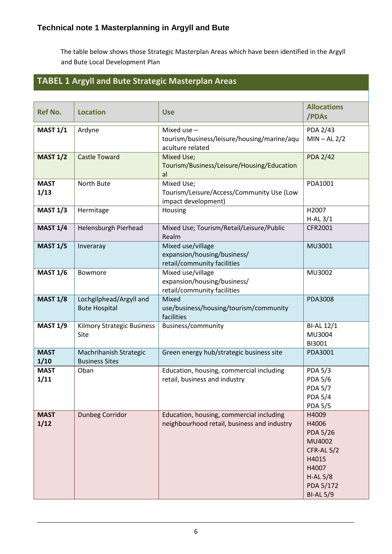The table below shows those Strategic Masterplan Areas which have been identified in the Argyll and Bute Local Development Plan

## **TABEL 1 Argyll and Bute Strategic Masterplan Areas**

| <b>Ref No.</b>      | <b>Location</b>                                 | <b>Use</b>                                                                              | <b>Allocations</b><br>/PDAs                                                                                               |
|---------------------|-------------------------------------------------|-----------------------------------------------------------------------------------------|---------------------------------------------------------------------------------------------------------------------------|
| <b>MAST 1/1</b>     | Ardyne                                          | Mixed use $-$<br>tourism/business/leisure/housing/marine/aqu<br>aculture related        | <b>PDA 2/43</b><br>$MIN - AL 2/2$                                                                                         |
| <b>MAST 1/2</b>     | <b>Castle Toward</b>                            | Mixed Use;<br>Tourism/Business/Leisure/Housing/Education<br>al                          | <b>PDA 2/42</b>                                                                                                           |
| <b>MAST</b><br>1/13 | North Bute                                      | Mixed Use;<br>Tourism/Leisure/Access/Community Use (Low<br>impact development)          | PDA1001                                                                                                                   |
| <b>MAST 1/3</b>     | Hermitage                                       | Housing                                                                                 | H2007<br>$H-AL$ 3/1                                                                                                       |
| <b>MAST 1/4</b>     | Helensburgh Pierhead                            | Mixed Use; Tourism/Retail/Leisure/Public<br>Realm                                       | CFR2001                                                                                                                   |
| <b>MAST 1/5</b>     | Inveraray                                       | Mixed use/village<br>expansion/housing/business/<br>retail/community facilities         | MU3001                                                                                                                    |
| <b>MAST 1/6</b>     | Bowmore                                         | Mixed use/village<br>expansion/housing/business/<br>retail/community facilities         | MU3002                                                                                                                    |
| <b>MAST 1/8</b>     | Lochgilphead/Argyll and<br><b>Bute Hospital</b> | Mixed<br>use/business/housing/tourism/community<br>facilities                           | <b>PDA3008</b>                                                                                                            |
| <b>MAST 1/9</b>     | Kilmory Strategic Business<br>Site              | Business/community                                                                      | <b>BI-AL 12/1</b><br>MU3004<br>BI3001                                                                                     |
| <b>MAST</b><br>1/10 | Machrihanish Strategic<br><b>Business Sites</b> | Green energy hub/strategic business site                                                | PDA3001                                                                                                                   |
| <b>MAST</b><br>1/11 | Oban                                            | Education, housing, commercial including<br>retail, business and industry               | <b>PDA 5/3</b><br><b>PDA 5/6</b><br><b>PDA 5/7</b><br><b>PDA 5/4</b><br><b>PDA 5/5</b>                                    |
| <b>MAST</b><br>1/12 | <b>Dunbeg Corridor</b>                          | Education, housing, commercial including<br>neighbourhood retail, business and industry | H4009<br>H4006<br><b>PDA 5/26</b><br>MU4002<br>CFR-AL 5/2<br>H4015<br>H4007<br>$H-AL5/8$<br>PDA 5/172<br><b>BI-AL 5/9</b> |